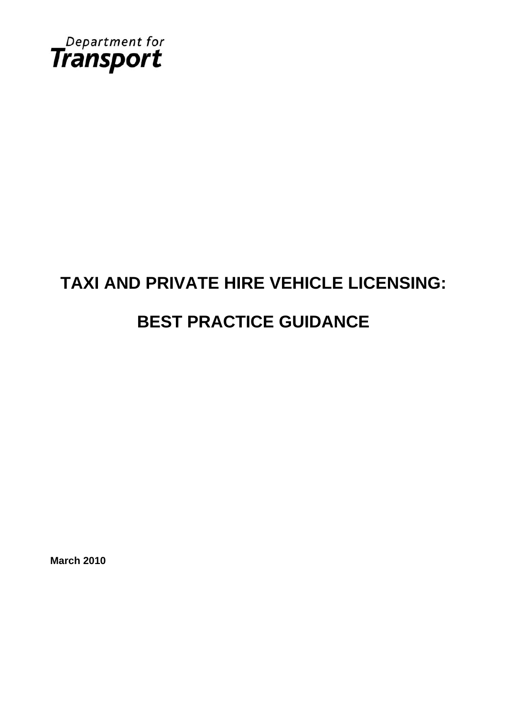

# **TAXI AND PRIVATE HIRE VEHICLE LICENSING: BEST PRACTICE GUIDANCE**

**March 2010**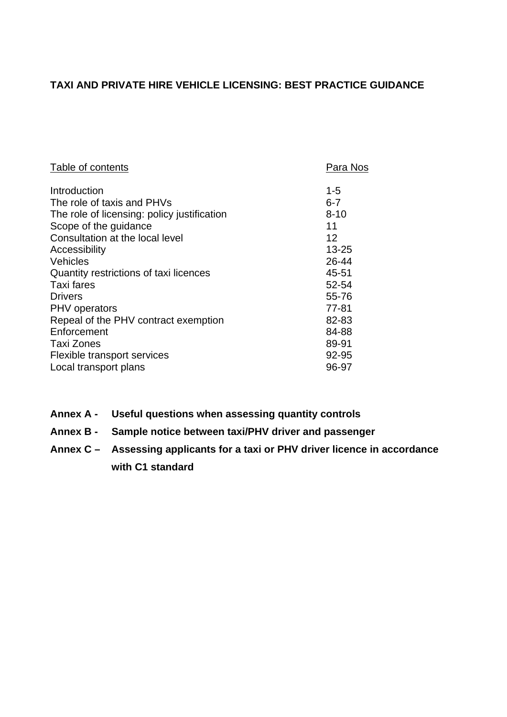## **TAXI AND PRIVATE HIRE VEHICLE LICENSING: BEST PRACTICE GUIDANCE**

| Table of contents                           | Para Nos  |
|---------------------------------------------|-----------|
| Introduction                                | $1 - 5$   |
| The role of taxis and PHVs                  | $6 - 7$   |
| The role of licensing: policy justification | $8 - 10$  |
| Scope of the guidance                       | 11        |
| Consultation at the local level             | 12        |
| Accessibility                               | $13 - 25$ |
| Vehicles                                    | 26-44     |
| Quantity restrictions of taxi licences      | 45-51     |
| Taxi fares                                  | 52-54     |
| <b>Drivers</b>                              | 55-76     |
| <b>PHV</b> operators                        | 77-81     |
| Repeal of the PHV contract exemption        | 82-83     |
| Enforcement                                 | 84-88     |
| Taxi Zones                                  | 89-91     |
| Flexible transport services                 | 92-95     |
| Local transport plans                       | 96-97     |

- **Annex A - Useful questions when assessing quantity controls**
- **Annex B - Sample notice between taxi/PHV driver and passenger**
- **Annex C Assessing applicants for a taxi or PHV driver licence in accordance with C1 standard**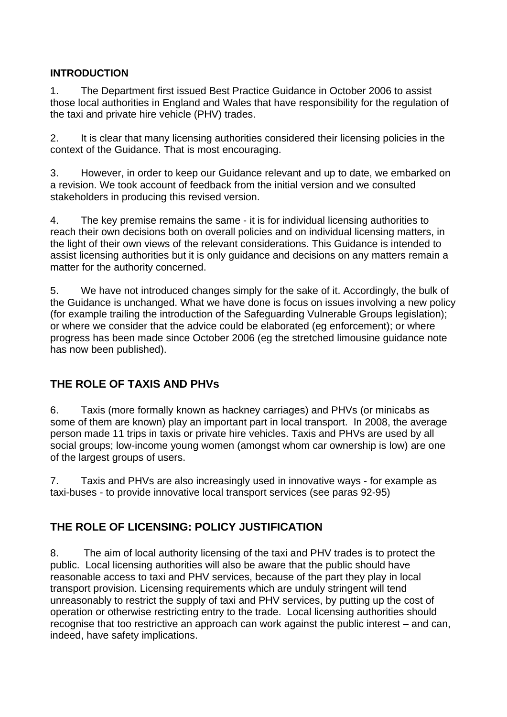## **INTRODUCTION**

1. The Department first issued Best Practice Guidance in October 2006 to assist those local authorities in England and Wales that have responsibility for the regulation of the taxi and private hire vehicle (PHV) trades.

2. It is clear that many licensing authorities considered their licensing policies in the context of the Guidance. That is most encouraging.

3. However, in order to keep our Guidance relevant and up to date, we embarked on a revision. We took account of feedback from the initial version and we consulted stakeholders in producing this revised version.

4. The key premise remains the same - it is for individual licensing authorities to reach their own decisions both on overall policies and on individual licensing matters, in the light of their own views of the relevant considerations. This Guidance is intended to assist licensing authorities but it is only guidance and decisions on any matters remain a matter for the authority concerned.

5. We have not introduced changes simply for the sake of it. Accordingly, the bulk of the Guidance is unchanged. What we have done is focus on issues involving a new policy (for example trailing the introduction of the Safeguarding Vulnerable Groups legislation); or where we consider that the advice could be elaborated (eg enforcement); or where progress has been made since October 2006 (eg the stretched limousine guidance note has now been published).

# **THE ROLE OF TAXIS AND PHVs**

6. Taxis (more formally known as hackney carriages) and PHVs (or minicabs as some of them are known) play an important part in local transport. In 2008, the average person made 11 trips in taxis or private hire vehicles. Taxis and PHVs are used by all social groups; low-income young women (amongst whom car ownership is low) are one of the largest groups of users.

7. Taxis and PHVs are also increasingly used in innovative ways - for example as taxi-buses - to provide innovative local transport services (see paras 92-95)

# **THE ROLE OF LICENSING: POLICY JUSTIFICATION**

8. The aim of local authority licensing of the taxi and PHV trades is to protect the public. Local licensing authorities will also be aware that the public should have reasonable access to taxi and PHV services, because of the part they play in local transport provision. Licensing requirements which are unduly stringent will tend unreasonably to restrict the supply of taxi and PHV services, by putting up the cost of operation or otherwise restricting entry to the trade. Local licensing authorities should recognise that too restrictive an approach can work against the public interest – and can, indeed, have safety implications.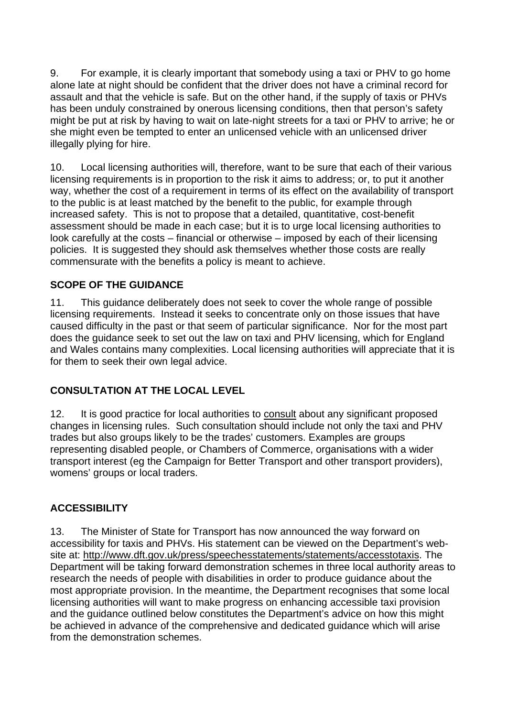9. For example, it is clearly important that somebody using a taxi or PHV to go home alone late at night should be confident that the driver does not have a criminal record for assault and that the vehicle is safe. But on the other hand, if the supply of taxis or PHVs has been unduly constrained by onerous licensing conditions, then that person's safety might be put at risk by having to wait on late-night streets for a taxi or PHV to arrive; he or she might even be tempted to enter an unlicensed vehicle with an unlicensed driver illegally plying for hire.

10. Local licensing authorities will, therefore, want to be sure that each of their various licensing requirements is in proportion to the risk it aims to address; or, to put it another way, whether the cost of a requirement in terms of its effect on the availability of transport to the public is at least matched by the benefit to the public, for example through increased safety. This is not to propose that a detailed, quantitative, cost-benefit assessment should be made in each case; but it is to urge local licensing authorities to look carefully at the costs – financial or otherwise – imposed by each of their licensing policies. It is suggested they should ask themselves whether those costs are really commensurate with the benefits a policy is meant to achieve.

## **SCOPE OF THE GUIDANCE**

11. This guidance deliberately does not seek to cover the whole range of possible licensing requirements. Instead it seeks to concentrate only on those issues that have caused difficulty in the past or that seem of particular significance. Nor for the most part does the guidance seek to set out the law on taxi and PHV licensing, which for England and Wales contains many complexities. Local licensing authorities will appreciate that it is for them to seek their own legal advice.

## **CONSULTATION AT THE LOCAL LEVEL**

12. It is good practice for local authorities to consult about any significant proposed changes in licensing rules. Such consultation should include not only the taxi and PHV trades but also groups likely to be the trades' customers. Examples are groups representing disabled people, or Chambers of Commerce, organisations with a wider transport interest (eg the Campaign for Better Transport and other transport providers), womens' groups or local traders.

## **ACCESSIBILITY**

13. The Minister of State for Transport has now announced the way forward on accessibility for taxis and PHVs. His statement can be viewed on the Department's website at: http://www.dft.gov.uk/press/speechesstatements/statements/accesstotaxis. The Department will be taking forward demonstration schemes in three local authority areas to research the needs of people with disabilities in order to produce guidance about the most appropriate provision. In the meantime, the Department recognises that some local licensing authorities will want to make progress on enhancing accessible taxi provision and the guidance outlined below constitutes the Department's advice on how this might be achieved in advance of the comprehensive and dedicated guidance which will arise from the demonstration schemes.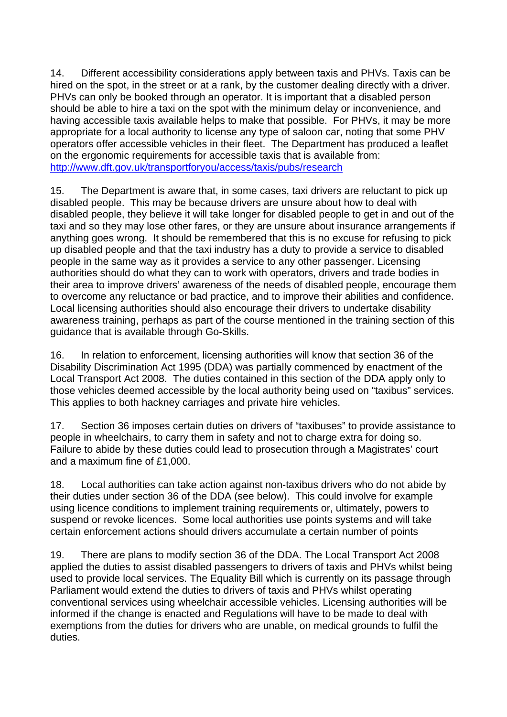14. Different accessibility considerations apply between taxis and PHVs. Taxis can be hired on the spot, in the street or at a rank, by the customer dealing directly with a driver. PHVs can only be booked through an operator. It is important that a disabled person should be able to hire a taxi on the spot with the minimum delay or inconvenience, and having accessible taxis available helps to make that possible. For PHVs, it may be more appropriate for a local authority to license any type of saloon car, noting that some PHV operators offer accessible vehicles in their fleet. The Department has produced a leaflet on the ergonomic requirements for accessible taxis that is available from: http://www.dft.gov.uk/transportforyou/access/taxis/pubs/research

15. The Department is aware that, in some cases, taxi drivers are reluctant to pick up disabled people. This may be because drivers are unsure about how to deal with disabled people, they believe it will take longer for disabled people to get in and out of the taxi and so they may lose other fares, or they are unsure about insurance arrangements if anything goes wrong. It should be remembered that this is no excuse for refusing to pick up disabled people and that the taxi industry has a duty to provide a service to disabled people in the same way as it provides a service to any other passenger. Licensing authorities should do what they can to work with operators, drivers and trade bodies in their area to improve drivers' awareness of the needs of disabled people, encourage them to overcome any reluctance or bad practice, and to improve their abilities and confidence. Local licensing authorities should also encourage their drivers to undertake disability awareness training, perhaps as part of the course mentioned in the training section of this guidance that is available through Go-Skills.

16. In relation to enforcement, licensing authorities will know that section 36 of the Disability Discrimination Act 1995 (DDA) was partially commenced by enactment of the Local Transport Act 2008. The duties contained in this section of the DDA apply only to those vehicles deemed accessible by the local authority being used on "taxibus" services. This applies to both hackney carriages and private hire vehicles.

17. Section 36 imposes certain duties on drivers of "taxibuses" to provide assistance to people in wheelchairs, to carry them in safety and not to charge extra for doing so. Failure to abide by these duties could lead to prosecution through a Magistrates' court and a maximum fine of £1,000.

18. Local authorities can take action against non-taxibus drivers who do not abide by their duties under section 36 of the DDA (see below). This could involve for example using licence conditions to implement training requirements or, ultimately, powers to suspend or revoke licences. Some local authorities use points systems and will take certain enforcement actions should drivers accumulate a certain number of points

19. There are plans to modify section 36 of the DDA. The Local Transport Act 2008 applied the duties to assist disabled passengers to drivers of taxis and PHVs whilst being used to provide local services. The Equality Bill which is currently on its passage through Parliament would extend the duties to drivers of taxis and PHVs whilst operating conventional services using wheelchair accessible vehicles. Licensing authorities will be informed if the change is enacted and Regulations will have to be made to deal with exemptions from the duties for drivers who are unable, on medical grounds to fulfil the duties.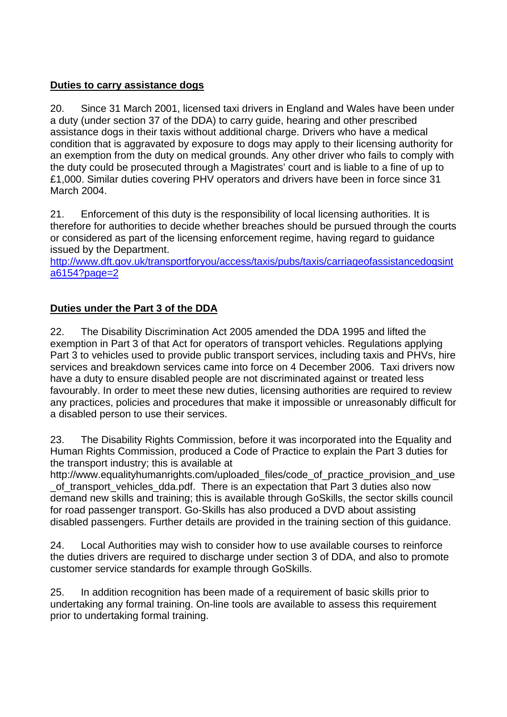## **Duties to carry assistance dogs**

20. Since 31 March 2001, licensed taxi drivers in England and Wales have been under a duty (under section 37 of the DDA) to carry guide, hearing and other prescribed assistance dogs in their taxis without additional charge. Drivers who have a medical condition that is aggravated by exposure to dogs may apply to their licensing authority for an exemption from the duty on medical grounds. Any other driver who fails to comply with the duty could be prosecuted through a Magistrates' court and is liable to a fine of up to £1,000. Similar duties covering PHV operators and drivers have been in force since 31 March 2004.

21. Enforcement of this duty is the responsibility of local licensing authorities. It is therefore for authorities to decide whether breaches should be pursued through the courts or considered as part of the licensing enforcement regime, having regard to guidance issued by the Department.

http://www.dft.gov.uk/transportforyou/access/taxis/pubs/taxis/carriageofassistancedogsint a6154?page=2

## **Duties under the Part 3 of the DDA**

22. The Disability Discrimination Act 2005 amended the DDA 1995 and lifted the exemption in Part 3 of that Act for operators of transport vehicles. Regulations applying Part 3 to vehicles used to provide public transport services, including taxis and PHVs, hire services and breakdown services came into force on 4 December 2006. Taxi drivers now have a duty to ensure disabled people are not discriminated against or treated less favourably. In order to meet these new duties, licensing authorities are required to review any practices, policies and procedures that make it impossible or unreasonably difficult for a disabled person to use their services.

23. The Disability Rights Commission, before it was incorporated into the Equality and Human Rights Commission, produced a Code of Practice to explain the Part 3 duties for the transport industry; this is available at

http://www.equalityhumanrights.com/uploaded\_files/code\_of\_practice\_provision\_and\_use \_of\_transport\_vehicles\_dda.pdf. There is an expectation that Part 3 duties also now demand new skills and training; this is available through GoSkills, the sector skills council for road passenger transport. Go-Skills has also produced a DVD about assisting disabled passengers. Further details are provided in the training section of this guidance.

24. Local Authorities may wish to consider how to use available courses to reinforce the duties drivers are required to discharge under section 3 of DDA, and also to promote customer service standards for example through GoSkills.

25. In addition recognition has been made of a requirement of basic skills prior to undertaking any formal training. On-line tools are available to assess this requirement prior to undertaking formal training.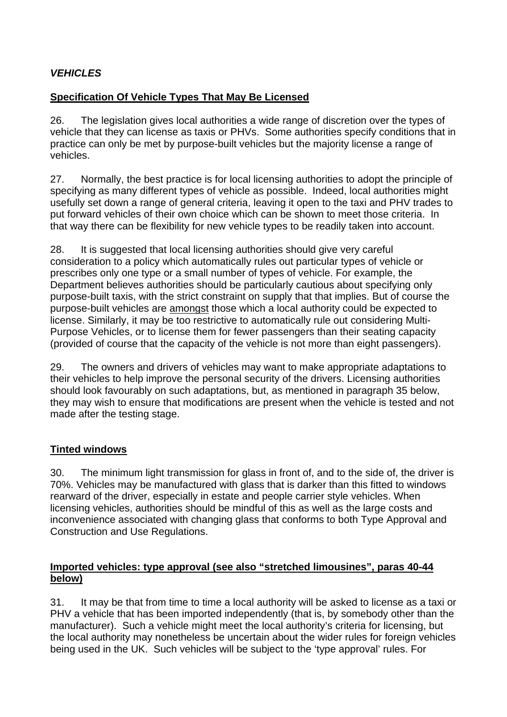## *VEHICLES*

## **Specification Of Vehicle Types That May Be Licensed**

26. The legislation gives local authorities a wide range of discretion over the types of vehicle that they can license as taxis or PHVs. Some authorities specify conditions that in practice can only be met by purpose-built vehicles but the majority license a range of vehicles.

27. Normally, the best practice is for local licensing authorities to adopt the principle of specifying as many different types of vehicle as possible. Indeed, local authorities might usefully set down a range of general criteria, leaving it open to the taxi and PHV trades to put forward vehicles of their own choice which can be shown to meet those criteria. In that way there can be flexibility for new vehicle types to be readily taken into account.

28. It is suggested that local licensing authorities should give very careful consideration to a policy which automatically rules out particular types of vehicle or prescribes only one type or a small number of types of vehicle. For example, the Department believes authorities should be particularly cautious about specifying only purpose-built taxis, with the strict constraint on supply that that implies. But of course the purpose-built vehicles are amongst those which a local authority could be expected to license. Similarly, it may be too restrictive to automatically rule out considering Multi-Purpose Vehicles, or to license them for fewer passengers than their seating capacity (provided of course that the capacity of the vehicle is not more than eight passengers).

29. The owners and drivers of vehicles may want to make appropriate adaptations to their vehicles to help improve the personal security of the drivers. Licensing authorities should look favourably on such adaptations, but, as mentioned in paragraph 35 below, they may wish to ensure that modifications are present when the vehicle is tested and not made after the testing stage.

## **Tinted windows**

30. The minimum light transmission for glass in front of, and to the side of, the driver is 70%. Vehicles may be manufactured with glass that is darker than this fitted to windows rearward of the driver, especially in estate and people carrier style vehicles. When licensing vehicles, authorities should be mindful of this as well as the large costs and inconvenience associated with changing glass that conforms to both Type Approval and Construction and Use Regulations.

#### **Imported vehicles: type approval (see also "stretched limousines", paras 40-44 below)**

31. It may be that from time to time a local authority will be asked to license as a taxi or PHV a vehicle that has been imported independently (that is, by somebody other than the manufacturer). Such a vehicle might meet the local authority's criteria for licensing, but the local authority may nonetheless be uncertain about the wider rules for foreign vehicles being used in the UK. Such vehicles will be subject to the 'type approval' rules. For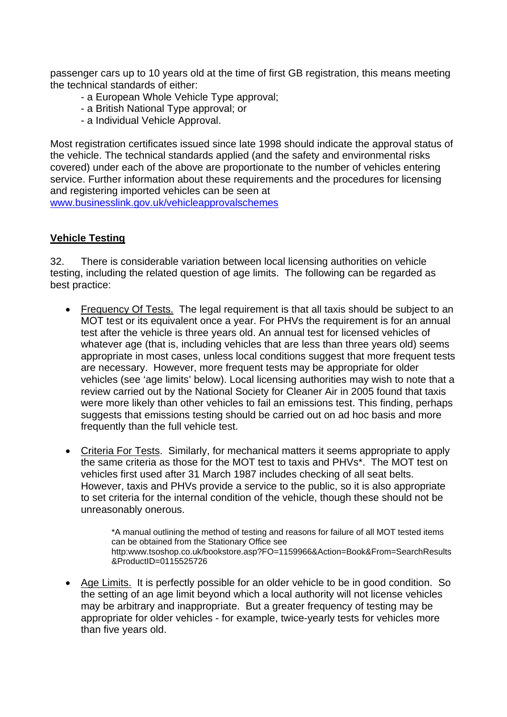passenger cars up to 10 years old at the time of first GB registration, this means meeting the technical standards of either:

- a European Whole Vehicle Type approval;
- a British National Type approval; or
- a Individual Vehicle Approval.

Most registration certificates issued since late 1998 should indicate the approval status of the vehicle. The technical standards applied (and the safety and environmental risks covered) under each of the above are proportionate to the number of vehicles entering service. Further information about these requirements and the procedures for licensing and registering imported vehicles can be seen at

www.businesslink.gov.uk/vehicleapprovalschemes

#### **Vehicle Testing**

32. There is considerable variation between local licensing authorities on vehicle testing, including the related question of age limits. The following can be regarded as best practice:

- Frequency Of Tests. The legal requirement is that all taxis should be subject to an MOT test or its equivalent once a year. For PHVs the requirement is for an annual test after the vehicle is three years old. An annual test for licensed vehicles of whatever age (that is, including vehicles that are less than three years old) seems appropriate in most cases, unless local conditions suggest that more frequent tests are necessary. However, more frequent tests may be appropriate for older vehicles (see 'age limits' below). Local licensing authorities may wish to note that a review carried out by the National Society for Cleaner Air in 2005 found that taxis were more likely than other vehicles to fail an emissions test. This finding, perhaps suggests that emissions testing should be carried out on ad hoc basis and more frequently than the full vehicle test.
- Criteria For Tests. Similarly, for mechanical matters it seems appropriate to apply the same criteria as those for the MOT test to taxis and PHVs\*. The MOT test on vehicles first used after 31 March 1987 includes checking of all seat belts. However, taxis and PHVs provide a service to the public, so it is also appropriate to set criteria for the internal condition of the vehicle, though these should not be unreasonably onerous.

\*A manual outlining the method of testing and reasons for failure of all MOT tested items can be obtained from the Stationary Office see http:www.tsoshop.co.uk/bookstore.asp?FO=1159966&Action=Book&From=SearchResults &ProductID=0115525726

 Age Limits. It is perfectly possible for an older vehicle to be in good condition. So the setting of an age limit beyond which a local authority will not license vehicles may be arbitrary and inappropriate. But a greater frequency of testing may be appropriate for older vehicles - for example, twice-yearly tests for vehicles more than five years old.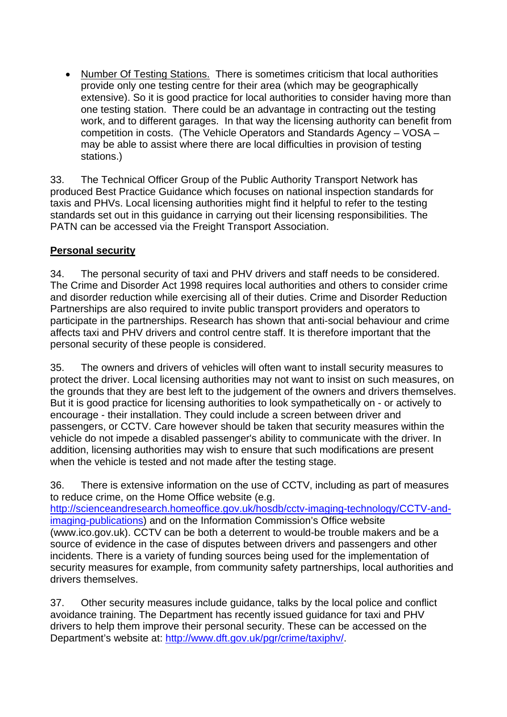Number Of Testing Stations. There is sometimes criticism that local authorities provide only one testing centre for their area (which may be geographically extensive). So it is good practice for local authorities to consider having more than one testing station. There could be an advantage in contracting out the testing work, and to different garages. In that way the licensing authority can benefit from competition in costs. (The Vehicle Operators and Standards Agency – VOSA – may be able to assist where there are local difficulties in provision of testing stations.)

33. The Technical Officer Group of the Public Authority Transport Network has produced Best Practice Guidance which focuses on national inspection standards for taxis and PHVs. Local licensing authorities might find it helpful to refer to the testing standards set out in this guidance in carrying out their licensing responsibilities. The PATN can be accessed via the Freight Transport Association.

## **Personal security**

34. The personal security of taxi and PHV drivers and staff needs to be considered. The Crime and Disorder Act 1998 requires local authorities and others to consider crime and disorder reduction while exercising all of their duties. Crime and Disorder Reduction Partnerships are also required to invite public transport providers and operators to participate in the partnerships. Research has shown that anti-social behaviour and crime affects taxi and PHV drivers and control centre staff. It is therefore important that the personal security of these people is considered.

35. The owners and drivers of vehicles will often want to install security measures to protect the driver. Local licensing authorities may not want to insist on such measures, on the grounds that they are best left to the judgement of the owners and drivers themselves. But it is good practice for licensing authorities to look sympathetically on - or actively to encourage - their installation. They could include a screen between driver and passengers, or CCTV. Care however should be taken that security measures within the vehicle do not impede a disabled passenger's ability to communicate with the driver. In addition, licensing authorities may wish to ensure that such modifications are present when the vehicle is tested and not made after the testing stage.

36. There is extensive information on the use of CCTV, including as part of measures to reduce crime, on the Home Office website (e.g. http://scienceandresearch.homeoffice.gov.uk/hosdb/cctv-imaging-technology/CCTV-andimaging-publications) and on the Information Commission's Office website (www.ico.gov.uk). CCTV can be both a deterrent to would-be trouble makers and be a source of evidence in the case of disputes between drivers and passengers and other incidents. There is a variety of funding sources being used for the implementation of security measures for example, from community safety partnerships, local authorities and drivers themselves.

37. Other security measures include guidance, talks by the local police and conflict avoidance training. The Department has recently issued guidance for taxi and PHV drivers to help them improve their personal security. These can be accessed on the Department's website at: http://www.dft.gov.uk/pgr/crime/taxiphv/.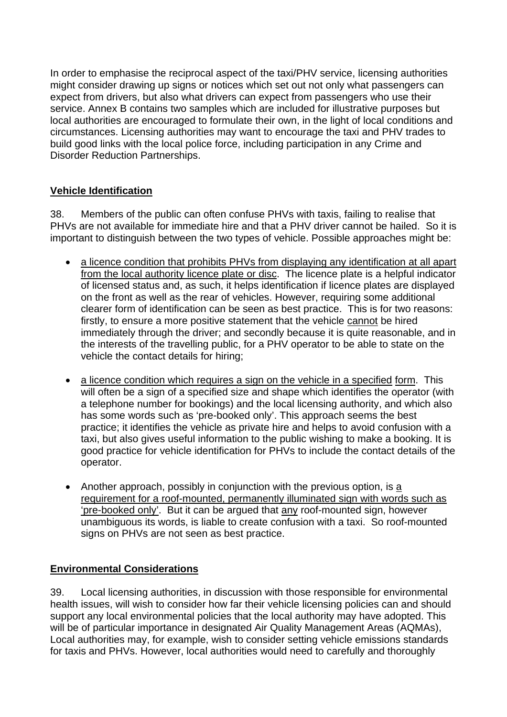In order to emphasise the reciprocal aspect of the taxi/PHV service, licensing authorities might consider drawing up signs or notices which set out not only what passengers can expect from drivers, but also what drivers can expect from passengers who use their service. Annex B contains two samples which are included for illustrative purposes but local authorities are encouraged to formulate their own, in the light of local conditions and circumstances. Licensing authorities may want to encourage the taxi and PHV trades to build good links with the local police force, including participation in any Crime and Disorder Reduction Partnerships.

## **Vehicle Identification**

38. Members of the public can often confuse PHVs with taxis, failing to realise that PHVs are not available for immediate hire and that a PHV driver cannot be hailed. So it is important to distinguish between the two types of vehicle. Possible approaches might be:

- a licence condition that prohibits PHVs from displaying any identification at all apart from the local authority licence plate or disc. The licence plate is a helpful indicator of licensed status and, as such, it helps identification if licence plates are displayed on the front as well as the rear of vehicles. However, requiring some additional clearer form of identification can be seen as best practice. This is for two reasons: firstly, to ensure a more positive statement that the vehicle cannot be hired immediately through the driver; and secondly because it is quite reasonable, and in the interests of the travelling public, for a PHV operator to be able to state on the vehicle the contact details for hiring;
- a licence condition which requires a sign on the vehicle in a specified form. This will often be a sign of a specified size and shape which identifies the operator (with a telephone number for bookings) and the local licensing authority, and which also has some words such as 'pre-booked only'. This approach seems the best practice; it identifies the vehicle as private hire and helps to avoid confusion with a taxi, but also gives useful information to the public wishing to make a booking. It is good practice for vehicle identification for PHVs to include the contact details of the operator.
- Another approach, possibly in conjunction with the previous option, is a requirement for a roof-mounted, permanently illuminated sign with words such as 'pre-booked only'. But it can be argued that any roof-mounted sign, however unambiguous its words, is liable to create confusion with a taxi. So roof-mounted signs on PHVs are not seen as best practice.

## **Environmental Considerations**

39. Local licensing authorities, in discussion with those responsible for environmental health issues, will wish to consider how far their vehicle licensing policies can and should support any local environmental policies that the local authority may have adopted. This will be of particular importance in designated Air Quality Management Areas (AQMAs), Local authorities may, for example, wish to consider setting vehicle emissions standards for taxis and PHVs. However, local authorities would need to carefully and thoroughly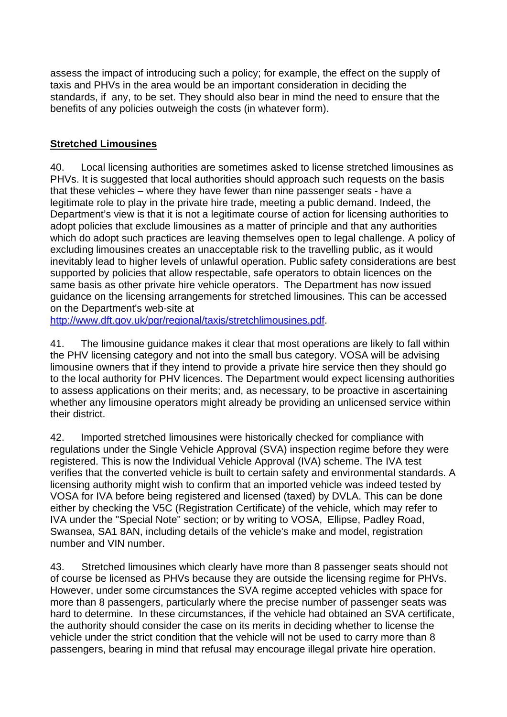assess the impact of introducing such a policy; for example, the effect on the supply of taxis and PHVs in the area would be an important consideration in deciding the standards, if any, to be set. They should also bear in mind the need to ensure that the benefits of any policies outweigh the costs (in whatever form).

#### **Stretched Limousines**

40. Local licensing authorities are sometimes asked to license stretched limousines as PHVs. It is suggested that local authorities should approach such requests on the basis that these vehicles – where they have fewer than nine passenger seats - have a legitimate role to play in the private hire trade, meeting a public demand. Indeed, the Department's view is that it is not a legitimate course of action for licensing authorities to adopt policies that exclude limousines as a matter of principle and that any authorities which do adopt such practices are leaving themselves open to legal challenge. A policy of excluding limousines creates an unacceptable risk to the travelling public, as it would inevitably lead to higher levels of unlawful operation. Public safety considerations are best supported by policies that allow respectable, safe operators to obtain licences on the same basis as other private hire vehicle operators. The Department has now issued guidance on the licensing arrangements for stretched limousines. This can be accessed on the Department's web-site at

http://www.dft.gov.uk/pgr/regional/taxis/stretchlimousines.pdf.

41. The limousine guidance makes it clear that most operations are likely to fall within the PHV licensing category and not into the small bus category. VOSA will be advising limousine owners that if they intend to provide a private hire service then they should go to the local authority for PHV licences. The Department would expect licensing authorities to assess applications on their merits; and, as necessary, to be proactive in ascertaining whether any limousine operators might already be providing an unlicensed service within their district.

42. Imported stretched limousines were historically checked for compliance with regulations under the Single Vehicle Approval (SVA) inspection regime before they were registered. This is now the Individual Vehicle Approval (IVA) scheme. The IVA test verifies that the converted vehicle is built to certain safety and environmental standards. A licensing authority might wish to confirm that an imported vehicle was indeed tested by VOSA for IVA before being registered and licensed (taxed) by DVLA. This can be done either by checking the V5C (Registration Certificate) of the vehicle, which may refer to IVA under the "Special Note" section; or by writing to VOSA, Ellipse, Padley Road, Swansea, SA1 8AN, including details of the vehicle's make and model, registration number and VIN number.

43. Stretched limousines which clearly have more than 8 passenger seats should not of course be licensed as PHVs because they are outside the licensing regime for PHVs. However, under some circumstances the SVA regime accepted vehicles with space for more than 8 passengers, particularly where the precise number of passenger seats was hard to determine. In these circumstances, if the vehicle had obtained an SVA certificate, the authority should consider the case on its merits in deciding whether to license the vehicle under the strict condition that the vehicle will not be used to carry more than 8 passengers, bearing in mind that refusal may encourage illegal private hire operation.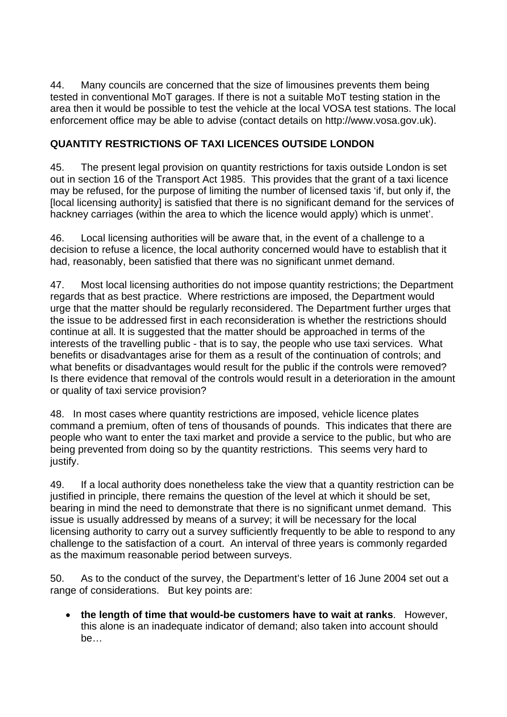44. Many councils are concerned that the size of limousines prevents them being tested in conventional MoT garages. If there is not a suitable MoT testing station in the area then it would be possible to test the vehicle at the local VOSA test stations. The local enforcement office may be able to advise (contact details on http://www.vosa.gov.uk).

## **QUANTITY RESTRICTIONS OF TAXI LICENCES OUTSIDE LONDON**

45. The present legal provision on quantity restrictions for taxis outside London is set out in section 16 of the Transport Act 1985. This provides that the grant of a taxi licence may be refused, for the purpose of limiting the number of licensed taxis 'if, but only if, the [local licensing authority] is satisfied that there is no significant demand for the services of hackney carriages (within the area to which the licence would apply) which is unmet'.

46. Local licensing authorities will be aware that, in the event of a challenge to a decision to refuse a licence, the local authority concerned would have to establish that it had, reasonably, been satisfied that there was no significant unmet demand.

47. Most local licensing authorities do not impose quantity restrictions; the Department regards that as best practice. Where restrictions are imposed, the Department would urge that the matter should be regularly reconsidered. The Department further urges that the issue to be addressed first in each reconsideration is whether the restrictions should continue at all. It is suggested that the matter should be approached in terms of the interests of the travelling public - that is to say, the people who use taxi services. What benefits or disadvantages arise for them as a result of the continuation of controls; and what benefits or disadvantages would result for the public if the controls were removed? Is there evidence that removal of the controls would result in a deterioration in the amount or quality of taxi service provision?

48. In most cases where quantity restrictions are imposed, vehicle licence plates command a premium, often of tens of thousands of pounds. This indicates that there are people who want to enter the taxi market and provide a service to the public, but who are being prevented from doing so by the quantity restrictions. This seems very hard to justify.

49. If a local authority does nonetheless take the view that a quantity restriction can be justified in principle, there remains the question of the level at which it should be set, bearing in mind the need to demonstrate that there is no significant unmet demand. This issue is usually addressed by means of a survey; it will be necessary for the local licensing authority to carry out a survey sufficiently frequently to be able to respond to any challenge to the satisfaction of a court. An interval of three years is commonly regarded as the maximum reasonable period between surveys.

50. As to the conduct of the survey, the Department's letter of 16 June 2004 set out a range of considerations. But key points are:

 **the length of time that would-be customers have to wait at ranks**. However, this alone is an inadequate indicator of demand; also taken into account should be…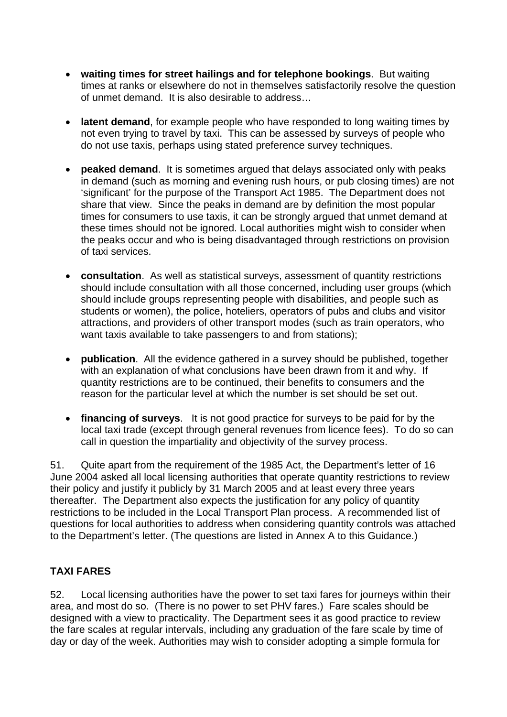- **waiting times for street hailings and for telephone bookings**. But waiting times at ranks or elsewhere do not in themselves satisfactorily resolve the question of unmet demand. It is also desirable to address…
- **latent demand**, for example people who have responded to long waiting times by not even trying to travel by taxi. This can be assessed by surveys of people who do not use taxis, perhaps using stated preference survey techniques.
- **peaked demand**. It is sometimes argued that delays associated only with peaks in demand (such as morning and evening rush hours, or pub closing times) are not 'significant' for the purpose of the Transport Act 1985. The Department does not share that view. Since the peaks in demand are by definition the most popular times for consumers to use taxis, it can be strongly argued that unmet demand at these times should not be ignored. Local authorities might wish to consider when the peaks occur and who is being disadvantaged through restrictions on provision of taxi services.
- **consultation**. As well as statistical surveys, assessment of quantity restrictions should include consultation with all those concerned, including user groups (which should include groups representing people with disabilities, and people such as students or women), the police, hoteliers, operators of pubs and clubs and visitor attractions, and providers of other transport modes (such as train operators, who want taxis available to take passengers to and from stations);
- **publication**. All the evidence gathered in a survey should be published, together with an explanation of what conclusions have been drawn from it and why. If quantity restrictions are to be continued, their benefits to consumers and the reason for the particular level at which the number is set should be set out.
- **financing of surveys**. It is not good practice for surveys to be paid for by the local taxi trade (except through general revenues from licence fees). To do so can call in question the impartiality and objectivity of the survey process.

51. Quite apart from the requirement of the 1985 Act, the Department's letter of 16 June 2004 asked all local licensing authorities that operate quantity restrictions to review their policy and justify it publicly by 31 March 2005 and at least every three years thereafter. The Department also expects the justification for any policy of quantity restrictions to be included in the Local Transport Plan process. A recommended list of questions for local authorities to address when considering quantity controls was attached to the Department's letter. (The questions are listed in Annex A to this Guidance.)

## **TAXI FARES**

52. Local licensing authorities have the power to set taxi fares for journeys within their area, and most do so. (There is no power to set PHV fares.) Fare scales should be designed with a view to practicality. The Department sees it as good practice to review the fare scales at regular intervals, including any graduation of the fare scale by time of day or day of the week. Authorities may wish to consider adopting a simple formula for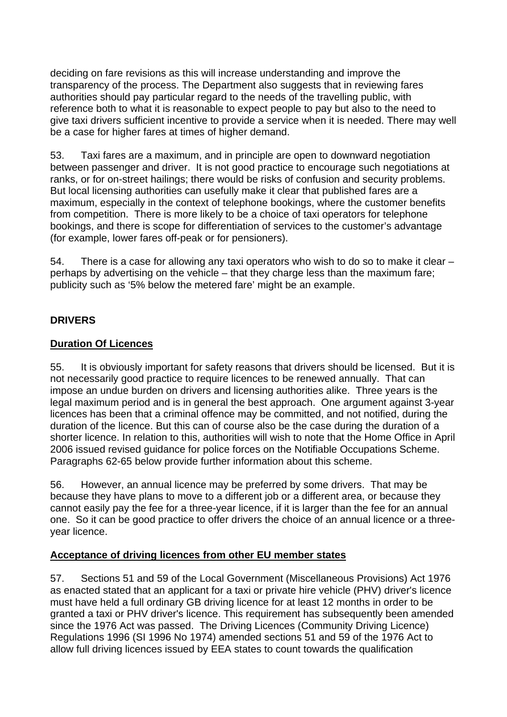deciding on fare revisions as this will increase understanding and improve the transparency of the process. The Department also suggests that in reviewing fares authorities should pay particular regard to the needs of the travelling public, with reference both to what it is reasonable to expect people to pay but also to the need to give taxi drivers sufficient incentive to provide a service when it is needed. There may well be a case for higher fares at times of higher demand.

53. Taxi fares are a maximum, and in principle are open to downward negotiation between passenger and driver. It is not good practice to encourage such negotiations at ranks, or for on-street hailings; there would be risks of confusion and security problems. But local licensing authorities can usefully make it clear that published fares are a maximum, especially in the context of telephone bookings, where the customer benefits from competition. There is more likely to be a choice of taxi operators for telephone bookings, and there is scope for differentiation of services to the customer's advantage (for example, lower fares off-peak or for pensioners).

54. There is a case for allowing any taxi operators who wish to do so to make it clear – perhaps by advertising on the vehicle – that they charge less than the maximum fare; publicity such as '5% below the metered fare' might be an example.

## **DRIVERS**

## **Duration Of Licences**

55. It is obviously important for safety reasons that drivers should be licensed. But it is not necessarily good practice to require licences to be renewed annually. That can impose an undue burden on drivers and licensing authorities alike. Three years is the legal maximum period and is in general the best approach. One argument against 3-year licences has been that a criminal offence may be committed, and not notified, during the duration of the licence. But this can of course also be the case during the duration of a shorter licence. In relation to this, authorities will wish to note that the Home Office in April 2006 issued revised guidance for police forces on the Notifiable Occupations Scheme. Paragraphs 62-65 below provide further information about this scheme.

56. However, an annual licence may be preferred by some drivers. That may be because they have plans to move to a different job or a different area, or because they cannot easily pay the fee for a three-year licence, if it is larger than the fee for an annual one. So it can be good practice to offer drivers the choice of an annual licence or a threeyear licence.

## **Acceptance of driving licences from other EU member states**

57. Sections 51 and 59 of the Local Government (Miscellaneous Provisions) Act 1976 as enacted stated that an applicant for a taxi or private hire vehicle (PHV) driver's licence must have held a full ordinary GB driving licence for at least 12 months in order to be granted a taxi or PHV driver's licence. This requirement has subsequently been amended since the 1976 Act was passed. The Driving Licences (Community Driving Licence) Regulations 1996 (SI 1996 No 1974) amended sections 51 and 59 of the 1976 Act to allow full driving licences issued by EEA states to count towards the qualification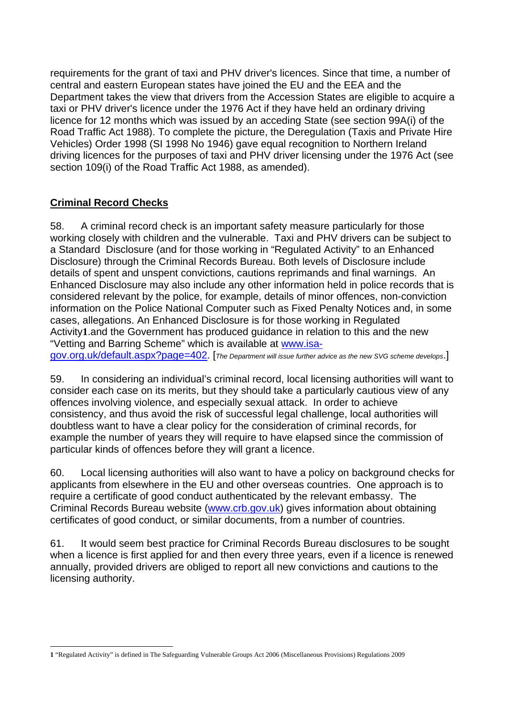requirements for the grant of taxi and PHV driver's licences. Since that time, a number of central and eastern European states have joined the EU and the EEA and the Department takes the view that drivers from the Accession States are eligible to acquire a taxi or PHV driver's licence under the 1976 Act if they have held an ordinary driving licence for 12 months which was issued by an acceding State (see section 99A(i) of the Road Traffic Act 1988). To complete the picture, the Deregulation (Taxis and Private Hire Vehicles) Order 1998 (SI 1998 No 1946) gave equal recognition to Northern Ireland driving licences for the purposes of taxi and PHV driver licensing under the 1976 Act (see section 109(i) of the Road Traffic Act 1988, as amended).

## **Criminal Record Checks**

58. A criminal record check is an important safety measure particularly for those working closely with children and the vulnerable. Taxi and PHV drivers can be subject to a Standard Disclosure (and for those working in "Regulated Activity" to an Enhanced Disclosure) through the Criminal Records Bureau. Both levels of Disclosure include details of spent and unspent convictions, cautions reprimands and final warnings. An Enhanced Disclosure may also include any other information held in police records that is considered relevant by the police, for example, details of minor offences, non-conviction information on the Police National Computer such as Fixed Penalty Notices and, in some cases, allegations. An Enhanced Disclosure is for those working in Regulated Activity**1**.and the Government has produced guidance in relation to this and the new "Vetting and Barring Scheme" which is available at www.isagov.org.uk/default.aspx?page=402. [*The Department will issue further advice as the new SVG scheme develops*.]

59. In considering an individual's criminal record, local licensing authorities will want to consider each case on its merits, but they should take a particularly cautious view of any offences involving violence, and especially sexual attack. In order to achieve consistency, and thus avoid the risk of successful legal challenge, local authorities will doubtless want to have a clear policy for the consideration of criminal records, for example the number of years they will require to have elapsed since the commission of particular kinds of offences before they will grant a licence.

60. Local licensing authorities will also want to have a policy on background checks for applicants from elsewhere in the EU and other overseas countries. One approach is to require a certificate of good conduct authenticated by the relevant embassy. The Criminal Records Bureau website (www.crb.gov.uk) gives information about obtaining certificates of good conduct, or similar documents, from a number of countries.

61. It would seem best practice for Criminal Records Bureau disclosures to be sought when a licence is first applied for and then every three years, even if a licence is renewed annually, provided drivers are obliged to report all new convictions and cautions to the licensing authority.

l **1** "Regulated Activity" is defined in The Safeguarding Vulnerable Groups Act 2006 (Miscellaneous Provisions) Regulations 2009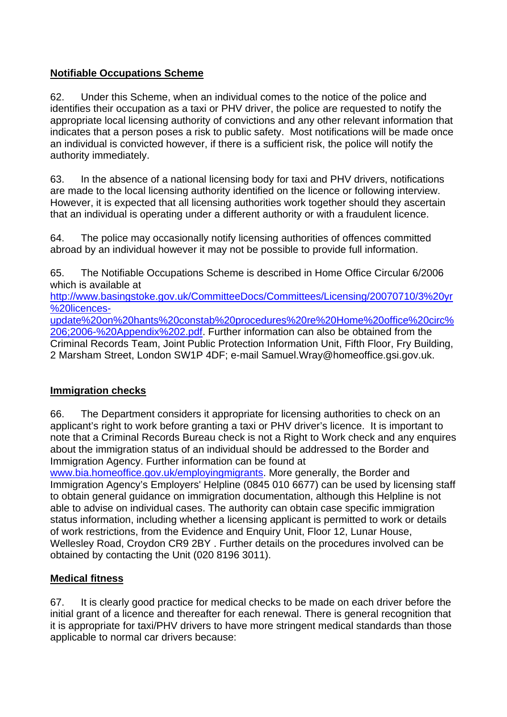## **Notifiable Occupations Scheme**

authority immediately. 62. Under this Scheme, when an individual comes to the notice of the police and identifies their occupation as a taxi or PHV driver, the police are requested to notify the appropriate local licensing authority of convictions and any other relevant information that indicates that a person poses a risk to public safety. Most notifications will be made once an individual is convicted however, if there is a sufficient risk, the police will notify the

63. In the absence of a national licensing body for taxi and PHV drivers, notifications are made to the local licensing authority identified on the licence or following interview. However, it is expected that all licensing authorities work together should they ascertain that an individual is operating under a different authority or with a fraudulent licence.

64. The police may occasionally notify licensing authorities of offences committed abroad by an individual however it may not be possible to provide full information.

65. The Notifiable Occupations Scheme is described in Home Office Circular 6/2006 which is available at

http://www.basingstoke.gov.uk/CommitteeDocs/Committees/Licensing/20070710/3%20yr %20licences-

update%20on%20hants%20constab%20procedures%20re%20Home%20office%20circ% 206;2006-%20Appendix%202.pdf. Further information can also be obtained from the Criminal Records Team, Joint Public Protection Information Unit, Fifth Floor, Fry Building, 2 Marsham Street, London SW1P 4DF; e-mail Samuel.Wray@homeoffice.gsi.gov.uk.

## **Immigration checks**

66. The Department considers it appropriate for licensing authorities to check on an applicant's right to work before granting a taxi or PHV driver's licence. It is important to note that a Criminal Records Bureau check is not a Right to Work check and any enquires about the immigration status of an individual should be addressed to the Border and Immigration Agency. Further information can be found at

www.bia.homeoffice.gov.uk/employingmigrants. More generally, the Border and Immigration Agency's Employers' Helpline (0845 010 6677) can be used by licensing staff to obtain general guidance on immigration documentation, although this Helpline is not able to advise on individual cases. The authority can obtain case specific immigration status information, including whether a licensing applicant is permitted to work or details of work restrictions, from the Evidence and Enquiry Unit, Floor 12, Lunar House, Wellesley Road, Croydon CR9 2BY . Further details on the procedures involved can be obtained by contacting the Unit (020 8196 3011).

## **Medical fitness**

67. It is clearly good practice for medical checks to be made on each driver before the initial grant of a licence and thereafter for each renewal. There is general recognition that it is appropriate for taxi/PHV drivers to have more stringent medical standards than those applicable to normal car drivers because: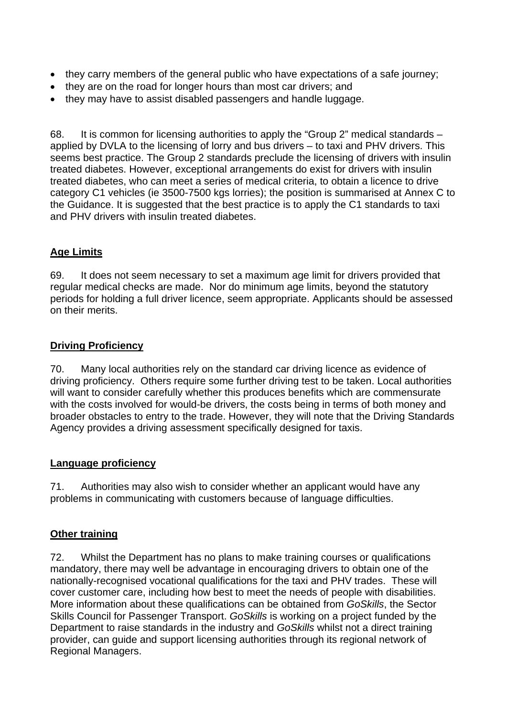- they carry members of the general public who have expectations of a safe journey;
- they are on the road for longer hours than most car drivers; and
- they may have to assist disabled passengers and handle luggage.

68. It is common for licensing authorities to apply the "Group 2" medical standards – applied by DVLA to the licensing of lorry and bus drivers – to taxi and PHV drivers. This seems best practice. The Group 2 standards preclude the licensing of drivers with insulin treated diabetes. However, exceptional arrangements do exist for drivers with insulin treated diabetes, who can meet a series of medical criteria, to obtain a licence to drive category C1 vehicles (ie 3500-7500 kgs lorries); the position is summarised at Annex C to the Guidance. It is suggested that the best practice is to apply the C1 standards to taxi and PHV drivers with insulin treated diabetes.

## **Age Limits**

69. It does not seem necessary to set a maximum age limit for drivers provided that regular medical checks are made. Nor do minimum age limits, beyond the statutory periods for holding a full driver licence, seem appropriate. Applicants should be assessed on their merits.

## **Driving Proficiency**

70. Many local authorities rely on the standard car driving licence as evidence of driving proficiency. Others require some further driving test to be taken. Local authorities will want to consider carefully whether this produces benefits which are commensurate with the costs involved for would-be drivers, the costs being in terms of both money and broader obstacles to entry to the trade. However, they will note that the Driving Standards Agency provides a driving assessment specifically designed for taxis.

## **Language proficiency**

71. Authorities may also wish to consider whether an applicant would have any problems in communicating with customers because of language difficulties.

## **Other training**

72. Whilst the Department has no plans to make training courses or qualifications mandatory, there may well be advantage in encouraging drivers to obtain one of the nationally-recognised vocational qualifications for the taxi and PHV trades. These will cover customer care, including how best to meet the needs of people with disabilities. More information about these qualifications can be obtained from *GoSkills*, the Sector Skills Council for Passenger Transport. *GoSkills* is working on a project funded by the Department to raise standards in the industry and *GoSkills* whilst not a direct training provider, can guide and support licensing authorities through its regional network of Regional Managers.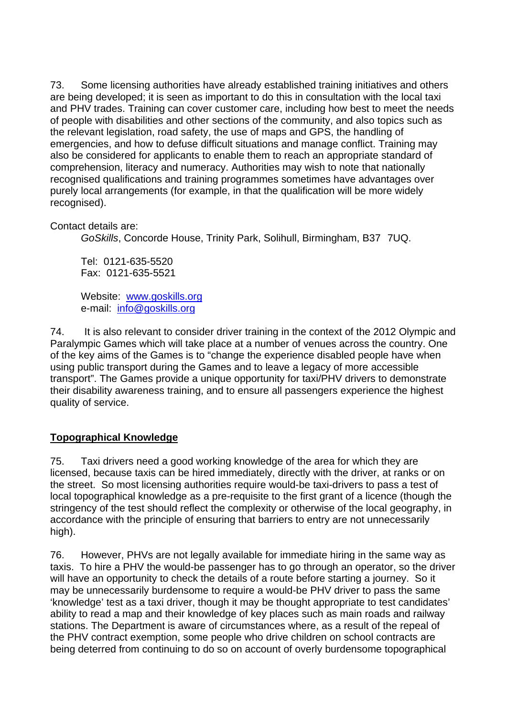73. Some licensing authorities have already established training initiatives and others are being developed; it is seen as important to do this in consultation with the local taxi and PHV trades. Training can cover customer care, including how best to meet the needs of people with disabilities and other sections of the community, and also topics such as the relevant legislation, road safety, the use of maps and GPS, the handling of emergencies, and how to defuse difficult situations and manage conflict. Training may also be considered for applicants to enable them to reach an appropriate standard of comprehension, literacy and numeracy. Authorities may wish to note that nationally recognised qualifications and training programmes sometimes have advantages over purely local arrangements (for example, in that the qualification will be more widely recognised).

#### Contact details are:

*GoSkills*, Concorde House, Trinity Park, Solihull, Birmingham, B37 7UQ.

Tel: 0121-635-5520 Fax: 0121-635-5521

Website: www.goskills.org e-mail: info@goskills.org

74. It is also relevant to consider driver training in the context of the 2012 Olympic and Paralympic Games which will take place at a number of venues across the country. One of the key aims of the Games is to "change the experience disabled people have when using public transport during the Games and to leave a legacy of more accessible transport". The Games provide a unique opportunity for taxi/PHV drivers to demonstrate their disability awareness training, and to ensure all passengers experience the highest quality of service.

## **Topographical Knowledge**

75. Taxi drivers need a good working knowledge of the area for which they are licensed, because taxis can be hired immediately, directly with the driver, at ranks or on the street. So most licensing authorities require would-be taxi-drivers to pass a test of local topographical knowledge as a pre-requisite to the first grant of a licence (though the stringency of the test should reflect the complexity or otherwise of the local geography, in accordance with the principle of ensuring that barriers to entry are not unnecessarily high).

76. However, PHVs are not legally available for immediate hiring in the same way as taxis. To hire a PHV the would-be passenger has to go through an operator, so the driver will have an opportunity to check the details of a route before starting a journey. So it may be unnecessarily burdensome to require a would-be PHV driver to pass the same 'knowledge' test as a taxi driver, though it may be thought appropriate to test candidates' ability to read a map and their knowledge of key places such as main roads and railway stations. The Department is aware of circumstances where, as a result of the repeal of the PHV contract exemption, some people who drive children on school contracts are being deterred from continuing to do so on account of overly burdensome topographical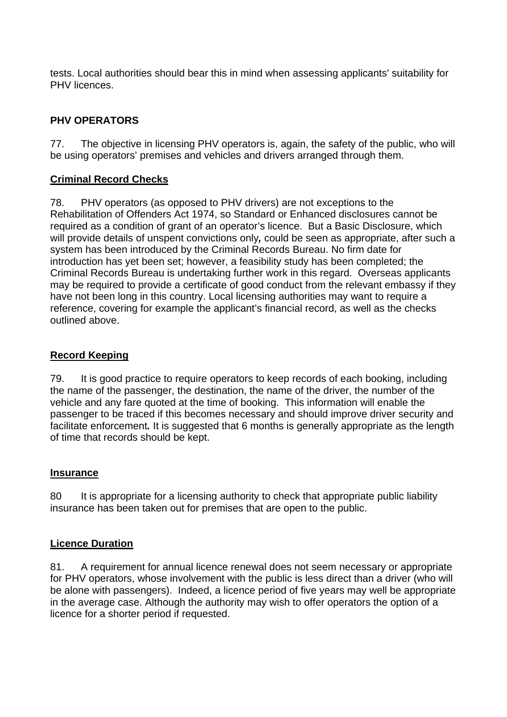tests. Local authorities should bear this in mind when assessing applicants' suitability for PHV licences.

## **PHV OPERATORS**

77. The objective in licensing PHV operators is, again, the safety of the public, who will be using operators' premises and vehicles and drivers arranged through them.

#### **Criminal Record Checks**

78. PHV operators (as opposed to PHV drivers) are not exceptions to the Rehabilitation of Offenders Act 1974, so Standard or Enhanced disclosures cannot be required as a condition of grant of an operator's licence. But a Basic Disclosure, which will provide details of unspent convictions only*,* could be seen as appropriate, after such a system has been introduced by the Criminal Records Bureau. No firm date for introduction has yet been set; however, a feasibility study has been completed; the Criminal Records Bureau is undertaking further work in this regard. Overseas applicants may be required to provide a certificate of good conduct from the relevant embassy if they have not been long in this country. Local licensing authorities may want to require a reference, covering for example the applicant's financial record, as well as the checks outlined above.

#### **Record Keeping**

79. It is good practice to require operators to keep records of each booking, including the name of the passenger, the destination, the name of the driver, the number of the vehicle and any fare quoted at the time of booking. This information will enable the passenger to be traced if this becomes necessary and should improve driver security and facilitate enforcement*.* It is suggested that 6 months is generally appropriate as the length of time that records should be kept.

#### **Insurance**

80 It is appropriate for a licensing authority to check that appropriate public liability insurance has been taken out for premises that are open to the public.

#### **Licence Duration**

81. A requirement for annual licence renewal does not seem necessary or appropriate for PHV operators, whose involvement with the public is less direct than a driver (who will be alone with passengers). Indeed, a licence period of five years may well be appropriate in the average case. Although the authority may wish to offer operators the option of a licence for a shorter period if requested.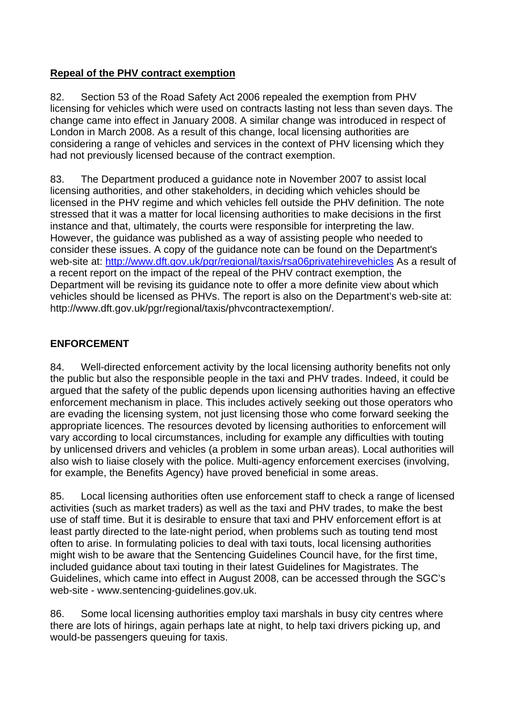## **Repeal of the PHV contract exemption**

82. Section 53 of the Road Safety Act 2006 repealed the exemption from PHV licensing for vehicles which were used on contracts lasting not less than seven days. The change came into effect in January 2008. A similar change was introduced in respect of London in March 2008. As a result of this change, local licensing authorities are considering a range of vehicles and services in the context of PHV licensing which they had not previously licensed because of the contract exemption.

83. The Department produced a guidance note in November 2007 to assist local licensing authorities, and other stakeholders, in deciding which vehicles should be licensed in the PHV regime and which vehicles fell outside the PHV definition. The note stressed that it was a matter for local licensing authorities to make decisions in the first instance and that, ultimately, the courts were responsible for interpreting the law. However, the guidance was published as a way of assisting people who needed to consider these issues. A copy of the guidance note can be found on the Department's web-site at: http://www.dft.gov.uk/pgr/regional/taxis/rsa06privatehirevehicles As a result of a recent report on the impact of the repeal of the PHV contract exemption, the Department will be revising its guidance note to offer a more definite view about which vehicles should be licensed as PHVs. The report is also on the Department's web-site at: http://www.dft.gov.uk/pgr/regional/taxis/phvcontractexemption/.

## **ENFORCEMENT**

84. Well-directed enforcement activity by the local licensing authority benefits not only the public but also the responsible people in the taxi and PHV trades. Indeed, it could be argued that the safety of the public depends upon licensing authorities having an effective enforcement mechanism in place. This includes actively seeking out those operators who are evading the licensing system, not just licensing those who come forward seeking the appropriate licences. The resources devoted by licensing authorities to enforcement will vary according to local circumstances, including for example any difficulties with touting by unlicensed drivers and vehicles (a problem in some urban areas). Local authorities will also wish to liaise closely with the police. Multi-agency enforcement exercises (involving, for example, the Benefits Agency) have proved beneficial in some areas.

85. Local licensing authorities often use enforcement staff to check a range of licensed activities (such as market traders) as well as the taxi and PHV trades, to make the best use of staff time. But it is desirable to ensure that taxi and PHV enforcement effort is at least partly directed to the late-night period, when problems such as touting tend most often to arise. In formulating policies to deal with taxi touts, local licensing authorities might wish to be aware that the Sentencing Guidelines Council have, for the first time, included guidance about taxi touting in their latest Guidelines for Magistrates. The Guidelines, which came into effect in August 2008, can be accessed through the SGC's web-site - www.sentencing-guidelines.gov.uk.

86. Some local licensing authorities employ taxi marshals in busy city centres where there are lots of hirings, again perhaps late at night, to help taxi drivers picking up, and would-be passengers queuing for taxis.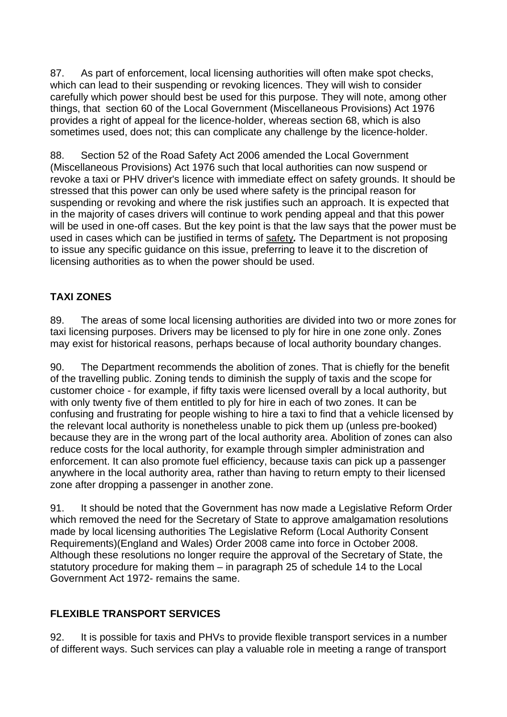87. As part of enforcement, local licensing authorities will often make spot checks, which can lead to their suspending or revoking licences. They will wish to consider carefully which power should best be used for this purpose. They will note, among other things, that section 60 of the Local Government (Miscellaneous Provisions) Act 1976 provides a right of appeal for the licence-holder, whereas section 68, which is also sometimes used, does not; this can complicate any challenge by the licence-holder.

88. Section 52 of the Road Safety Act 2006 amended the Local Government (Miscellaneous Provisions) Act 1976 such that local authorities can now suspend or revoke a taxi or PHV driver's licence with immediate effect on safety grounds. It should be stressed that this power can only be used where safety is the principal reason for suspending or revoking and where the risk justifies such an approach. It is expected that in the majority of cases drivers will continue to work pending appeal and that this power will be used in one-off cases. But the key point is that the law says that the power must be used in cases which can be justified in terms of safety*.* The Department is not proposing to issue any specific guidance on this issue, preferring to leave it to the discretion of licensing authorities as to when the power should be used.

# **TAXI ZONES**

89. The areas of some local licensing authorities are divided into two or more zones for taxi licensing purposes. Drivers may be licensed to ply for hire in one zone only. Zones may exist for historical reasons, perhaps because of local authority boundary changes.

90. The Department recommends the abolition of zones. That is chiefly for the benefit of the travelling public. Zoning tends to diminish the supply of taxis and the scope for customer choice - for example, if fifty taxis were licensed overall by a local authority, but with only twenty five of them entitled to ply for hire in each of two zones. It can be confusing and frustrating for people wishing to hire a taxi to find that a vehicle licensed by the relevant local authority is nonetheless unable to pick them up (unless pre-booked) because they are in the wrong part of the local authority area. Abolition of zones can also reduce costs for the local authority, for example through simpler administration and enforcement. It can also promote fuel efficiency, because taxis can pick up a passenger anywhere in the local authority area, rather than having to return empty to their licensed zone after dropping a passenger in another zone.

91. It should be noted that the Government has now made a Legislative Reform Order which removed the need for the Secretary of State to approve amalgamation resolutions made by local licensing authorities The Legislative Reform (Local Authority Consent Requirements)(England and Wales) Order 2008 came into force in October 2008. Although these resolutions no longer require the approval of the Secretary of State, the statutory procedure for making them – in paragraph 25 of schedule 14 to the Local Government Act 1972- remains the same.

## **FLEXIBLE TRANSPORT SERVICES**

92. It is possible for taxis and PHVs to provide flexible transport services in a number of different ways. Such services can play a valuable role in meeting a range of transport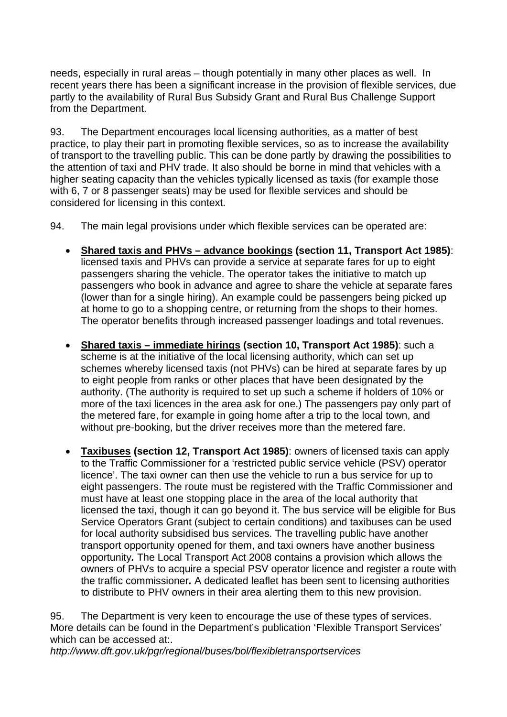needs, especially in rural areas – though potentially in many other places as well. In recent years there has been a significant increase in the provision of flexible services, due partly to the availability of Rural Bus Subsidy Grant and Rural Bus Challenge Support from the Department.

93. The Department encourages local licensing authorities, as a matter of best practice, to play their part in promoting flexible services, so as to increase the availability of transport to the travelling public. This can be done partly by drawing the possibilities to the attention of taxi and PHV trade. It also should be borne in mind that vehicles with a higher seating capacity than the vehicles typically licensed as taxis (for example those with 6, 7 or 8 passenger seats) may be used for flexible services and should be considered for licensing in this context.

94. The main legal provisions under which flexible services can be operated are:

- **Shared taxis and PHVs advance bookings (section 11, Transport Act 1985)**: licensed taxis and PHVs can provide a service at separate fares for up to eight passengers sharing the vehicle. The operator takes the initiative to match up passengers who book in advance and agree to share the vehicle at separate fares (lower than for a single hiring). An example could be passengers being picked up at home to go to a shopping centre, or returning from the shops to their homes. The operator benefits through increased passenger loadings and total revenues.
- **Shared taxis immediate hirings (section 10, Transport Act 1985)**: such a scheme is at the initiative of the local licensing authority, which can set up schemes whereby licensed taxis (not PHVs) can be hired at separate fares by up to eight people from ranks or other places that have been designated by the authority. (The authority is required to set up such a scheme if holders of 10% or more of the taxi licences in the area ask for one.) The passengers pay only part of the metered fare, for example in going home after a trip to the local town, and without pre-booking, but the driver receives more than the metered fare.
- to distribute to PHV owners in their area alerting them to this new provision. **Taxibuses (section 12, Transport Act 1985)**: owners of licensed taxis can apply to the Traffic Commissioner for a 'restricted public service vehicle (PSV) operator licence'. The taxi owner can then use the vehicle to run a bus service for up to eight passengers. The route must be registered with the Traffic Commissioner and must have at least one stopping place in the area of the local authority that licensed the taxi, though it can go beyond it. The bus service will be eligible for Bus Service Operators Grant (subject to certain conditions) and taxibuses can be used for local authority subsidised bus services. The travelling public have another transport opportunity opened for them, and taxi owners have another business opportunity*.* The Local Transport Act 2008 contains a provision which allows the owners of PHVs to acquire a special PSV operator licence and register a route with the traffic commissioner*.* A dedicated leaflet has been sent to licensing authorities

95. The Department is very keen to encourage the use of these types of services. More details can be found in the Department's publication 'Flexible Transport Services' which can be accessed at:.

*http://www.dft.gov.uk/pgr/regional/buses/bol/flexibletransportservices*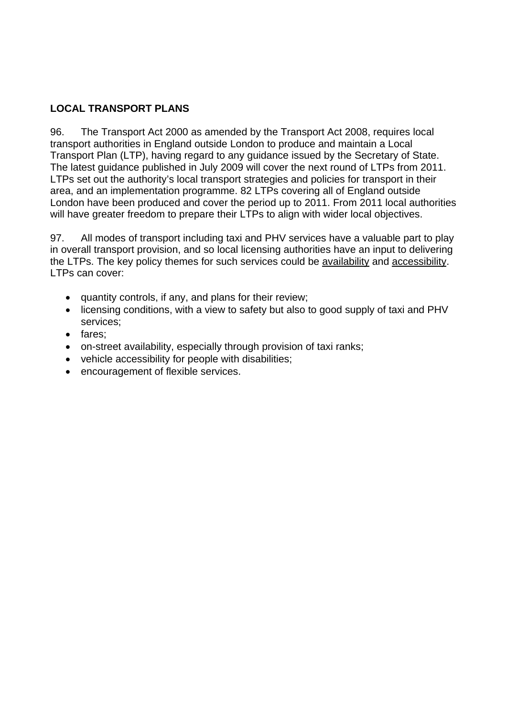## **LOCAL TRANSPORT PLANS**

96. The Transport Act 2000 as amended by the Transport Act 2008, requires local transport authorities in England outside London to produce and maintain a Local Transport Plan (LTP), having regard to any guidance issued by the Secretary of State. The latest guidance published in July 2009 will cover the next round of LTPs from 2011. LTPs set out the authority's local transport strategies and policies for transport in their area, and an implementation programme. 82 LTPs covering all of England outside London have been produced and cover the period up to 2011. From 2011 local authorities will have greater freedom to prepare their LTPs to align with wider local objectives.

97. All modes of transport including taxi and PHV services have a valuable part to play in overall transport provision, and so local licensing authorities have an input to delivering the LTPs. The key policy themes for such services could be availability and accessibility. LTPs can cover:

- quantity controls, if any, and plans for their review;
- licensing conditions, with a view to safety but also to good supply of taxi and PHV services;
- fares:
- on-street availability, especially through provision of taxi ranks;
- vehicle accessibility for people with disabilities;
- encouragement of flexible services.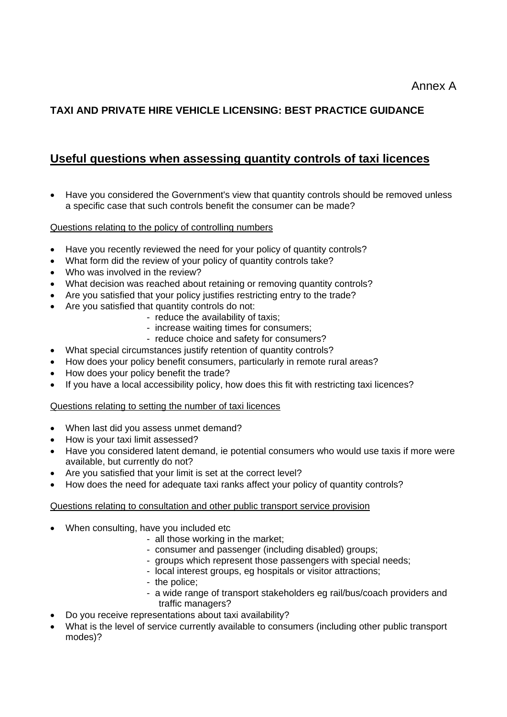# **TAXI AND PRIVATE HIRE VEHICLE LICENSING: BEST PRACTICE GUIDANCE**

# **Useful questions when assessing quantity controls of taxi licences**

• Have you considered the Government's view that quantity controls should be removed unless a specific case that such controls benefit the consumer can be made?

#### Questions relating to the policy of controlling numbers

- Have you recently reviewed the need for your policy of quantity controls?
- What form did the review of your policy of quantity controls take?
- Who was involved in the review?
- What decision was reached about retaining or removing quantity controls?
- Are you satisfied that your policy justifies restricting entry to the trade?
- Are you satisfied that quantity controls do not:
	- reduce the availability of taxis;
	- increase waiting times for consumers;
	- reduce choice and safety for consumers?
- What special circumstances justify retention of quantity controls?
- How does your policy benefit consumers, particularly in remote rural areas?
- How does your policy benefit the trade?
- If you have a local accessibility policy, how does this fit with restricting taxi licences?

#### Questions relating to setting the number of taxi licences

- When last did you assess unmet demand?
- How is your taxi limit assessed?
- Have you considered latent demand, ie potential consumers who would use taxis if more were available, but currently do not?
- Are you satisfied that your limit is set at the correct level?
- How does the need for adequate taxi ranks affect your policy of quantity controls?

#### Questions relating to consultation and other public transport service provision

- When consulting, have you included etc
	- all those working in the market;
	- consumer and passenger (including disabled) groups;
	- groups which represent those passengers with special needs;
	- local interest groups, eg hospitals or visitor attractions;
	- the police;
	- a wide range of transport stakeholders eg rail/bus/coach providers and traffic managers?
- Do you receive representations about taxi availability?
- What is the level of service currently available to consumers (including other public transport modes)?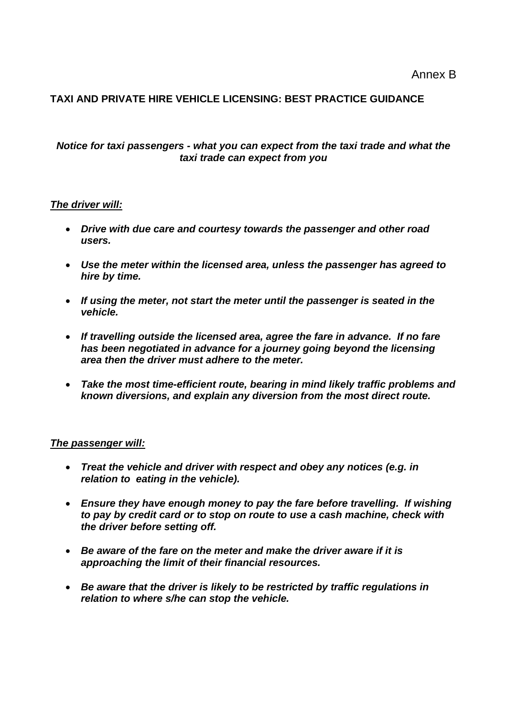## **TAXI AND PRIVATE HIRE VEHICLE LICENSING: BEST PRACTICE GUIDANCE**

#### *Notice for taxi passengers - what you can expect from the taxi trade and what the taxi trade can expect from you*

#### *The driver will:*

- *Drive with due care and courtesy towards the passenger and other road users.*
- *Use the meter within the licensed area, unless the passenger has agreed to hire by time.*
- *If using the meter, not start the meter until the passenger is seated in the vehicle.*
- *If travelling outside the licensed area, agree the fare in advance. If no fare has been negotiated in advance for a journey going beyond the licensing area then the driver must adhere to the meter.*
- *Take the most time-efficient route, bearing in mind likely traffic problems and known diversions, and explain any diversion from the most direct route.*

#### *The passenger will:*

- *Treat the vehicle and driver with respect and obey any notices (e.g. in relation to eating in the vehicle).*
- *Ensure they have enough money to pay the fare before travelling. If wishing to pay by credit card or to stop on route to use a cash machine, check with the driver before setting off.*
- *Be aware of the fare on the meter and make the driver aware if it is approaching the limit of their financial resources.*
- *Be aware that the driver is likely to be restricted by traffic regulations in relation to where s/he can stop the vehicle.*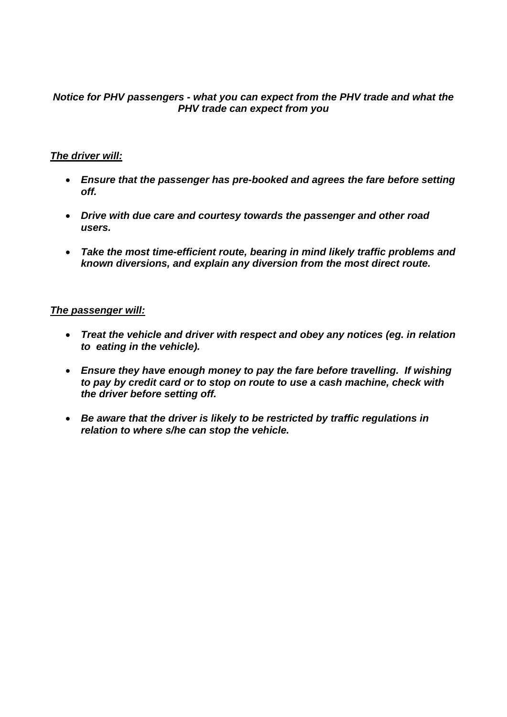#### *Notice for PHV passengers - what you can expect from the PHV trade and what the PHV trade can expect from you*

#### *The driver will:*

- *Ensure that the passenger has pre-booked and agrees the fare before setting off.*
- *Drive with due care and courtesy towards the passenger and other road users.*
- *Take the most time-efficient route, bearing in mind likely traffic problems and known diversions, and explain any diversion from the most direct route.*

#### *The passenger will:*

- *Treat the vehicle and driver with respect and obey any notices (eg. in relation to eating in the vehicle).*
- *Ensure they have enough money to pay the fare before travelling. If wishing to pay by credit card or to stop on route to use a cash machine, check with the driver before setting off.*
- *Be aware that the driver is likely to be restricted by traffic regulations in relation to where s/he can stop the vehicle.*